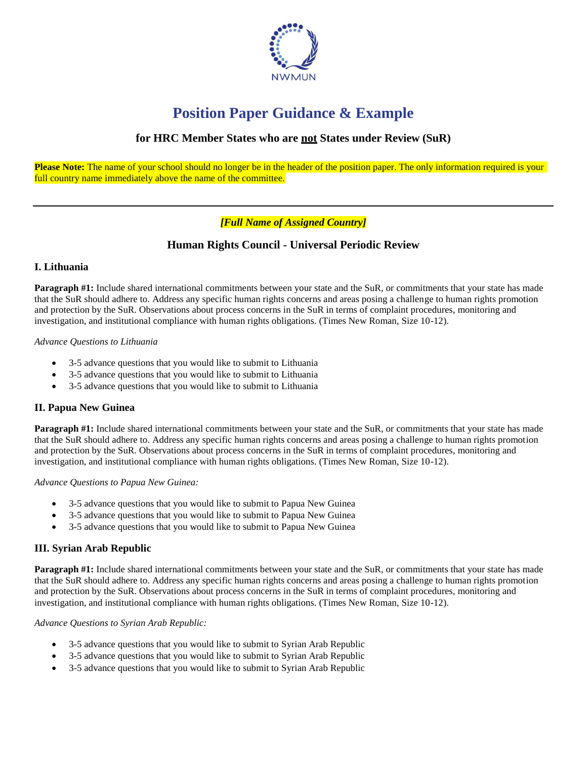

# **Position Paper Guidance & Example**

# **for HRC Member States who are not States under Review (SuR)**

**Please Note:** The name of your school should no longer be in the header of the position paper. The only information required is your full country name immediately above the name of the committee.

# *[Full Name of Assigned Country]*

# **Human Rights Council - Universal Periodic Review**

## **I. Lithuania**

**Paragraph #1:** Include shared international commitments between your state and the SuR, or commitments that your state has made that the SuR should adhere to. Address any specific human rights concerns and areas posing a challenge to human rights promotion and protection by the SuR. Observations about process concerns in the SuR in terms of complaint procedures, monitoring and investigation, and institutional compliance with human rights obligations. (Times New Roman, Size 10-12).

### *Advance Questions to Lithuania*

- 3-5 advance questions that you would like to submit to Lithuania
- 3-5 advance questions that you would like to submit to Lithuania
- 3-5 advance questions that you would like to submit to Lithuania

## **II. Papua New Guinea**

**Paragraph #1:** Include shared international commitments between your state and the SuR, or commitments that your state has made that the SuR should adhere to. Address any specific human rights concerns and areas posing a challenge to human rights promotion and protection by the SuR. Observations about process concerns in the SuR in terms of complaint procedures, monitoring and investigation, and institutional compliance with human rights obligations. (Times New Roman, Size 10-12).

### *Advance Questions to Papua New Guinea:*

- 3-5 advance questions that you would like to submit to Papua New Guinea
- 3-5 advance questions that you would like to submit to Papua New Guinea
- 3-5 advance questions that you would like to submit to Papua New Guinea

## **III. Syrian Arab Republic**

**Paragraph #1:** Include shared international commitments between your state and the SuR, or commitments that your state has made that the SuR should adhere to. Address any specific human rights concerns and areas posing a challenge to human rights promotion and protection by the SuR. Observations about process concerns in the SuR in terms of complaint procedures, monitoring and investigation, and institutional compliance with human rights obligations. (Times New Roman, Size 10-12).

### *Advance Questions to Syrian Arab Republic:*

- 3-5 advance questions that you would like to submit to Syrian Arab Republic
- 3-5 advance questions that you would like to submit to Syrian Arab Republic
- 3-5 advance questions that you would like to submit to Syrian Arab Republic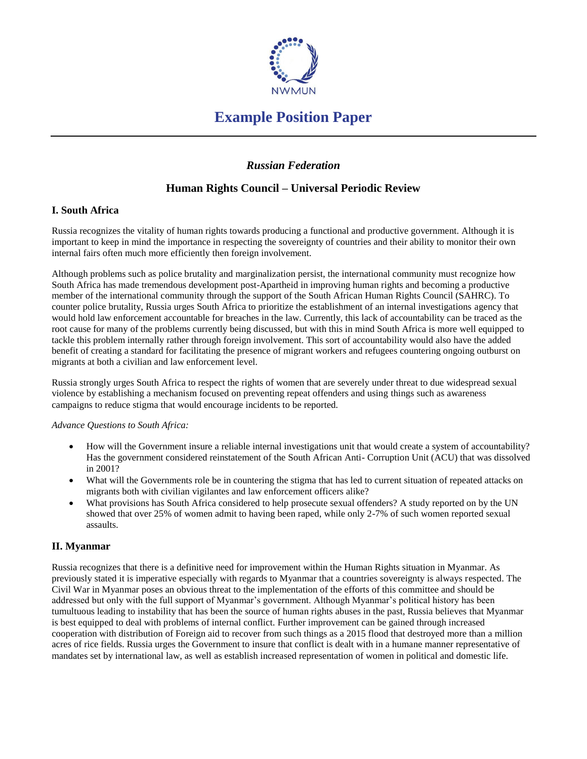

# **Example Position Paper**

# *Russian Federation*

# **Human Rights Council – Universal Periodic Review**

## **I. South Africa**

Russia recognizes the vitality of human rights towards producing a functional and productive government. Although it is important to keep in mind the importance in respecting the sovereignty of countries and their ability to monitor their own internal fairs often much more efficiently then foreign involvement.

Although problems such as police brutality and marginalization persist, the international community must recognize how South Africa has made tremendous development post-Apartheid in improving human rights and becoming a productive member of the international community through the support of the South African Human Rights Council (SAHRC). To counter police brutality, Russia urges South Africa to prioritize the establishment of an internal investigations agency that would hold law enforcement accountable for breaches in the law. Currently, this lack of accountability can be traced as the root cause for many of the problems currently being discussed, but with this in mind South Africa is more well equipped to tackle this problem internally rather through foreign involvement. This sort of accountability would also have the added benefit of creating a standard for facilitating the presence of migrant workers and refugees countering ongoing outburst on migrants at both a civilian and law enforcement level.

Russia strongly urges South Africa to respect the rights of women that are severely under threat to due widespread sexual violence by establishing a mechanism focused on preventing repeat offenders and using things such as awareness campaigns to reduce stigma that would encourage incidents to be reported.

### *Advance Questions to South Africa:*

- How will the Government insure a reliable internal investigations unit that would create a system of accountability? Has the government considered reinstatement of the South African Anti- Corruption Unit (ACU) that was dissolved in 2001?
- What will the Governments role be in countering the stigma that has led to current situation of repeated attacks on migrants both with civilian vigilantes and law enforcement officers alike?
- What provisions has South Africa considered to help prosecute sexual offenders? A study reported on by the UN showed that over 25% of women admit to having been raped, while only 2-7% of such women reported sexual assaults.

## **II. Myanmar**

Russia recognizes that there is a definitive need for improvement within the Human Rights situation in Myanmar. As previously stated it is imperative especially with regards to Myanmar that a countries sovereignty is always respected. The Civil War in Myanmar poses an obvious threat to the implementation of the efforts of this committee and should be addressed but only with the full support of Myanmar's government. Although Myanmar's political history has been tumultuous leading to instability that has been the source of human rights abuses in the past, Russia believes that Myanmar is best equipped to deal with problems of internal conflict. Further improvement can be gained through increased cooperation with distribution of Foreign aid to recover from such things as a 2015 flood that destroyed more than a million acres of rice fields. Russia urges the Government to insure that conflict is dealt with in a humane manner representative of mandates set by international law, as well as establish increased representation of women in political and domestic life.